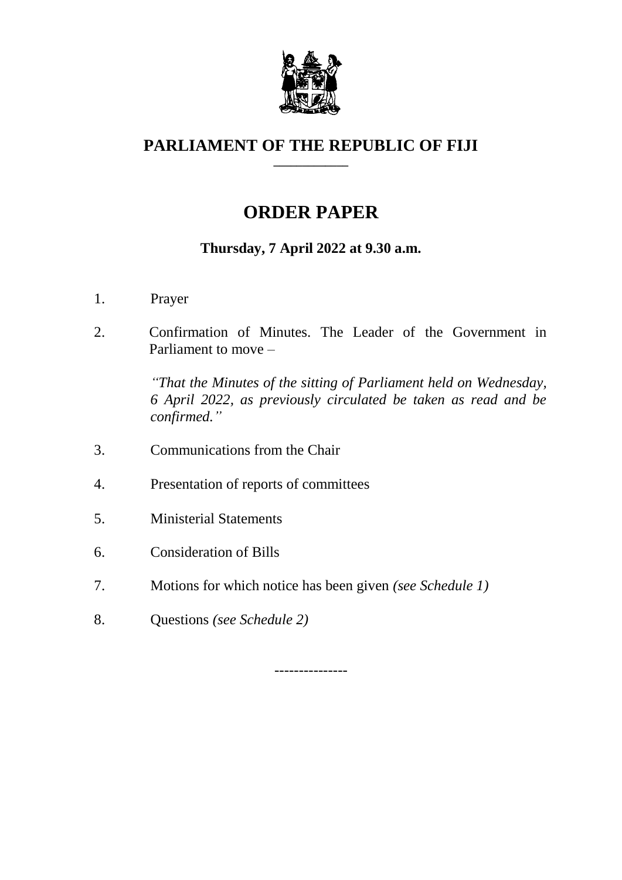

#### **PARLIAMENT OF THE REPUBLIC OF FIJI \_\_\_\_\_\_\_\_\_\_\_\_\_**

# **ORDER PAPER**

# **Thursday, 7 April 2022 at 9.30 a.m.**

- 1. Prayer
- 2. Confirmation of Minutes. The Leader of the Government in Parliament to move –

*"That the Minutes of the sitting of Parliament held on Wednesday, 6 April 2022, as previously circulated be taken as read and be confirmed."*

- 3. Communications from the Chair
- 4. Presentation of reports of committees
- 5. Ministerial Statements
- 6. Consideration of Bills
- 7. Motions for which notice has been given *(see Schedule 1)*
- 8. Questions *(see Schedule 2)*

---------------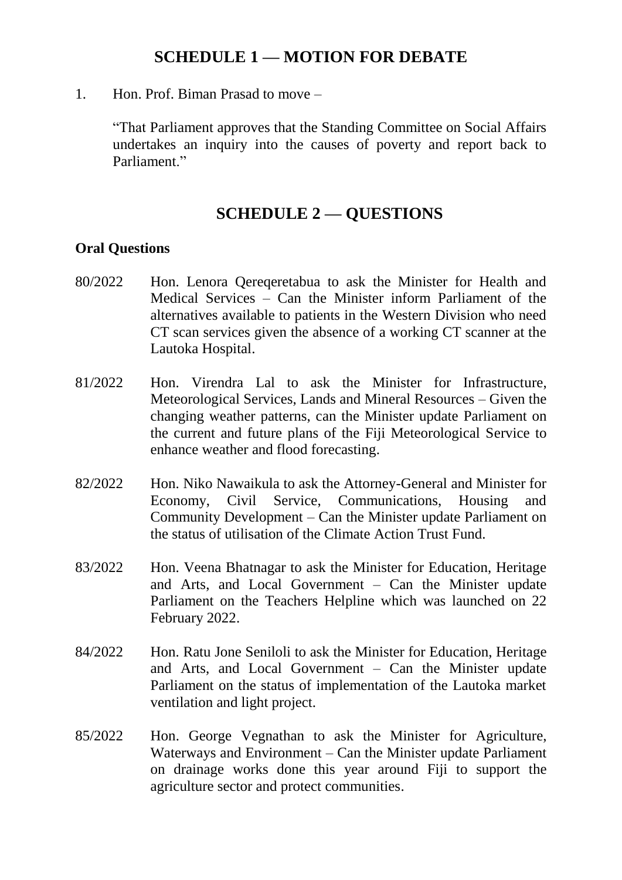## **SCHEDULE 1 — MOTION FOR DEBATE**

1. Hon. Prof. Biman Prasad to move –

"That Parliament approves that the Standing Committee on Social Affairs undertakes an inquiry into the causes of poverty and report back to Parliament."

### **SCHEDULE 2 — QUESTIONS**

#### **Oral Questions**

- 80/2022 Hon. Lenora Qereqeretabua to ask the Minister for Health and Medical Services – Can the Minister inform Parliament of the alternatives available to patients in the Western Division who need CT scan services given the absence of a working CT scanner at the Lautoka Hospital.
- 81/2022 Hon. Virendra Lal to ask the Minister for Infrastructure, Meteorological Services, Lands and Mineral Resources – Given the changing weather patterns, can the Minister update Parliament on the current and future plans of the Fiji Meteorological Service to enhance weather and flood forecasting.
- 82/2022 Hon. Niko Nawaikula to ask the Attorney-General and Minister for Economy, Civil Service, Communications, Housing and Community Development – Can the Minister update Parliament on the status of utilisation of the Climate Action Trust Fund.
- 83/2022 Hon. Veena Bhatnagar to ask the Minister for Education, Heritage and Arts, and Local Government – Can the Minister update Parliament on the Teachers Helpline which was launched on 22 February 2022.
- 84/2022 Hon. Ratu Jone Seniloli to ask the Minister for Education, Heritage and Arts, and Local Government – Can the Minister update Parliament on the status of implementation of the Lautoka market ventilation and light project.
- 85/2022 Hon. George Vegnathan to ask the Minister for Agriculture, Waterways and Environment – Can the Minister update Parliament on drainage works done this year around Fiji to support the agriculture sector and protect communities.